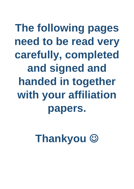The following pages need to be read very carefully, completed and signed and handed in together with your affiliation papers.

**Thankyou ©**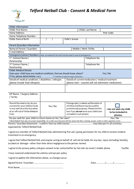

## *Telford Netball Club - Consent & Medical Form*

| Childs Information                                                                         |                       |                                                   |                                                         |            |  |
|--------------------------------------------------------------------------------------------|-----------------------|---------------------------------------------------|---------------------------------------------------------|------------|--|
| Childs First Name:                                                                         | Childs Last Name:     |                                                   |                                                         |            |  |
| Home Address:                                                                              |                       |                                                   |                                                         | Post Code: |  |
| Home Telephone Number:                                                                     |                       |                                                   |                                                         |            |  |
| Childs Date of Birth                                                                       |                       | Child's School                                    |                                                         |            |  |
|                                                                                            |                       |                                                   |                                                         |            |  |
| Parent / Guardian Information                                                              |                       |                                                   |                                                         |            |  |
| Name of Parent / Guardian:                                                                 | Mobile / Work Tel No. |                                                   |                                                         |            |  |
| <b>E-mail Address</b>                                                                      |                       |                                                   |                                                         |            |  |
| Emergency Contact Numbers (these are essential but will only be used in case of emergency) |                       |                                                   |                                                         |            |  |
| 1 <sup>st</sup> Contact Name /                                                             |                       |                                                   | Telephone No.                                           |            |  |
| Relationship                                                                               |                       |                                                   |                                                         |            |  |
| 2 <sup>nd</sup> Contact Name /                                                             |                       |                                                   | Telephone No.                                           |            |  |
| Relationship                                                                               |                       |                                                   |                                                         |            |  |
| <b>Childs Medical Details</b>                                                              |                       |                                                   |                                                         |            |  |
| Does your child have any medical conditions that we should know about?                     |                       |                                                   |                                                         | Yes / No   |  |
| If Yes, please detail below $(1&&2)$<br>* Continue on separate page if necessary           |                       |                                                   |                                                         |            |  |
| Details of medical conditions / disabilities / allergies                                   |                       | Details of current medication / medical treatment |                                                         |            |  |
| (please include food allergies):                                                           |                       |                                                   | (please note – coaches will not administer medication): |            |  |
|                                                                                            |                       | 2                                                 |                                                         |            |  |
|                                                                                            |                       |                                                   |                                                         |            |  |
|                                                                                            |                       |                                                   |                                                         |            |  |
| GP Name / Surgery Address<br>/ Tel No                                                      |                       |                                                   |                                                         |            |  |
|                                                                                            |                       |                                                   |                                                         |            |  |

| Should the need arise, do you<br>consent for your child to travel<br>in any vehicle at the discretion<br>of an official of Telford Netball<br>Club. | Yes / No | Photographs / videoes will be taken of<br>children and these may be used for<br>promotional purposes. Please tick this<br>box if you do not wish your child to be<br>included in such photos. | I do not wish my child<br>to be included in<br>photos. |
|-----------------------------------------------------------------------------------------------------------------------------------------------------|----------|-----------------------------------------------------------------------------------------------------------------------------------------------------------------------------------------------|--------------------------------------------------------|
| Do you wish for your child to return home on his / her own?                                                                                         |          |                                                                                                                                                                                               | Yes / No                                               |

Telford Netball Club does not accept responsibility for a child once they have left the sports hall after a training session, match or other organised event. Parent / Guardian Statement : I confirm that my child (name) ………………………………… may take part in all activities, organised by Telford Netball Club.

I agree to a member of Telford Netball Club administering first aid / giving permission for my child to receive medical treatment in an emergency.

I agree that Telford Netball Club and anyone acting on behalf of, will not be liable for any loss, injury (including fatality), accident or damage – other than their direct negligence to the person named.

I agree to the privacy policy and give consent to be contacted for by the club via email / mobile phone Yes/No

I have read and understood the asthma and epi-pen policy

I agree to update the information above, as changes occur.

Signed Parent / Guardian …………………………………………… Date ……………/…………/……………….

Print Name …………………………………………………………………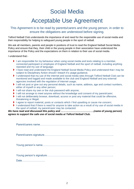# Social Media

# Acceptable Use Agreement

#### This Agreement is to be read by parents/carers and the young person, in order to ensure the obligations are understood before signing.

Telford Netball Club understands the importance of and need for the responsible use of social media and their responsibility for helping to safeguard young people in the sport of netball.

We ask all members, parents and people in positions of trust to read the England Netball Social Media Policy and ensure that they, their child or the young people in their association have understood the importance of the Policy and the expectations on them in relation to their use of social media.

I understand that:-

- I am responsible for my behaviour when using social media and texts relating to a member, connected participant or employee of England Netball and the sport of netball, including anything reposted and my use of language;
- I have read and understand the England Netball Social Media Policy and understand that I may be subject to Disciplinary Action should I breach it's usage guidance;
- I understand that my use of the internet and social media sites through Telford Netball Club can be monitored and logged and made available to the club and England Netball and any external agencies involved with the regulation of internet usage;
- I will not post or give out any personal details, such as name, address, age and contact numbers, either of myself or any other person;
- I will not share my own or the club password with anyone;
- I will not arrange to meet anyone without the knowledge and consent of my parent/carer;
- I will not deliberately browse, download, access or post any material that could be offensive, threatening or illegal;
- I agree to report material, posts or contacts which I find upsetting or cause me concern;
- I understand that if there is need for anyone to take action as a result of my use of social media in the sport of netball, my parent/carer may be contacted.

*We have read and discussed this policy and ………………………………….(name of young person) agrees to support the safe use of social media at Telford Netball Club.*

Parent/carers name……………………………………………………………………….

Parent/carers signature…………………………………………………………………..

Young person's name…………………………………………………………………….

Young person's signature………………………………………………………………..

Date……………………..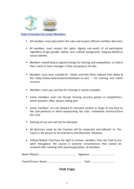

#### **Code of Conduct for Junior Members**

- All members must play within the rules and respect officials and their decisions.
- All members must respect the rights, dignity and worth of all participants regardless of age, gender, ability, race, cultural background, religious beliefs or sexual identity.
- Members should keep to agreed timings for training and competitions or inform their coach or team manager if they are going to be late.
- Members must wear suitable kit Skorts and Polo Shirts ordered from Baker & Son (http://www.bakerandsonschoolwear.co.uk/) – for training and match sessions.
- ▪Members must pay any fees for training or events promptly.
- Junior members must not disrupt training sessions, games or competitions, which prevents other players taking part.
- Junior members are not allowed to consume alcohol or drugs of any kind on the club premises or whilst representing the club – immediate dismissal from the Club.
- ▪Bullying of any sort will not be tolerated.
- All decisions made by the Coaches will be respected and adhered to. The Coach is the person to be listened to and directions followed.
- Telford Netball Club have the right to remove members from the Club at any point throughout the season in extreme circumstances that cannot be resolved after meeting with parents/guardians of members.

Name (Player) ................................................... Signature ................................. Parent/Carers Name................................................. Date ................................

#### **Club Copy**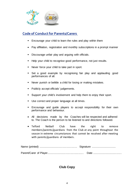

### **Code of Conduct for Parents/Carers**

- $\blacksquare$ Encourage your child to learn the rules and play within them
- Pay affiliation, registration and monthly subscriptions in a prompt manner
- ▪Discourage unfair play and arguing with officials.
- ▪Help your child to recognise good performance, not just results.
- ▪Never force your child to take part in sport.
- ▪ Set a good example by recognising fair play and applauding good performances of all.
- ▪Never punish or belittle a child for losing or making mistakes.
- Publicly accept officials' judgements.
- ▪Support your child's involvement and help them to enjoy their sport.
- Use correct and proper language at all times.
- ▪ Encourage and guide players to accept responsibility for their own performance and behaviour.
- All decisions made by the Coaches will be respected and adhered to. The Coach is the person to be listened to and directions followed.
- Telford Netball Club have the right to remove members/parents/guardians from the Club at any point throughout the season in extreme circumstances that cannot be resolved after meeting with parents/guardians of members.

**Club Copy**